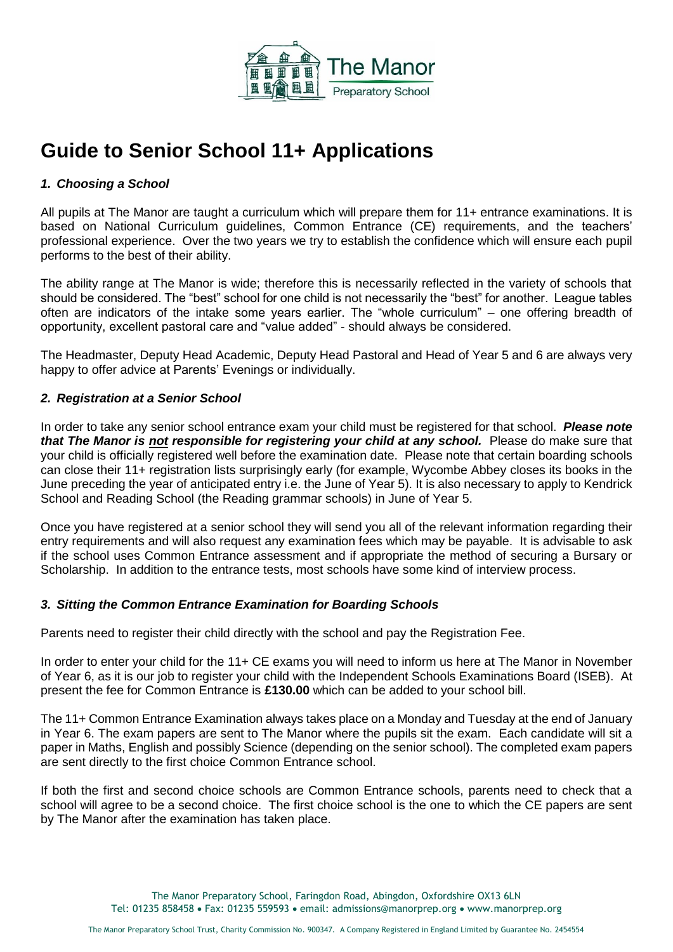

# **Guide to Senior School 11+ Applications**

# *1. Choosing a School*

All pupils at The Manor are taught a curriculum which will prepare them for 11+ entrance examinations. It is based on National Curriculum guidelines, Common Entrance (CE) requirements, and the teachers' professional experience. Over the two years we try to establish the confidence which will ensure each pupil performs to the best of their ability.

The ability range at The Manor is wide; therefore this is necessarily reflected in the variety of schools that should be considered. The "best" school for one child is not necessarily the "best" for another. League tables often are indicators of the intake some years earlier. The "whole curriculum" – one offering breadth of opportunity, excellent pastoral care and "value added" - should always be considered.

The Headmaster, Deputy Head Academic, Deputy Head Pastoral and Head of Year 5 and 6 are always very happy to offer advice at Parents' Evenings or individually.

## *2. Registration at a Senior School*

In order to take any senior school entrance exam your child must be registered for that school. *Please note that The Manor is not responsible for registering your child at any school.* Please do make sure that your child is officially registered well before the examination date. Please note that certain boarding schools can close their 11+ registration lists surprisingly early (for example, Wycombe Abbey closes its books in the June preceding the year of anticipated entry i.e. the June of Year 5). It is also necessary to apply to Kendrick School and Reading School (the Reading grammar schools) in June of Year 5.

Once you have registered at a senior school they will send you all of the relevant information regarding their entry requirements and will also request any examination fees which may be payable. It is advisable to ask if the school uses Common Entrance assessment and if appropriate the method of securing a Bursary or Scholarship. In addition to the entrance tests, most schools have some kind of interview process.

## *3. Sitting the Common Entrance Examination for Boarding Schools*

Parents need to register their child directly with the school and pay the Registration Fee.

In order to enter your child for the 11+ CE exams you will need to inform us here at The Manor in November of Year 6, as it is our job to register your child with the Independent Schools Examinations Board (ISEB). At present the fee for Common Entrance is **£130.00** which can be added to your school bill.

The 11+ Common Entrance Examination always takes place on a Monday and Tuesday at the end of January in Year 6. The exam papers are sent to The Manor where the pupils sit the exam. Each candidate will sit a paper in Maths, English and possibly Science (depending on the senior school). The completed exam papers are sent directly to the first choice Common Entrance school.

If both the first and second choice schools are Common Entrance schools, parents need to check that a school will agree to be a second choice. The first choice school is the one to which the CE papers are sent by The Manor after the examination has taken place.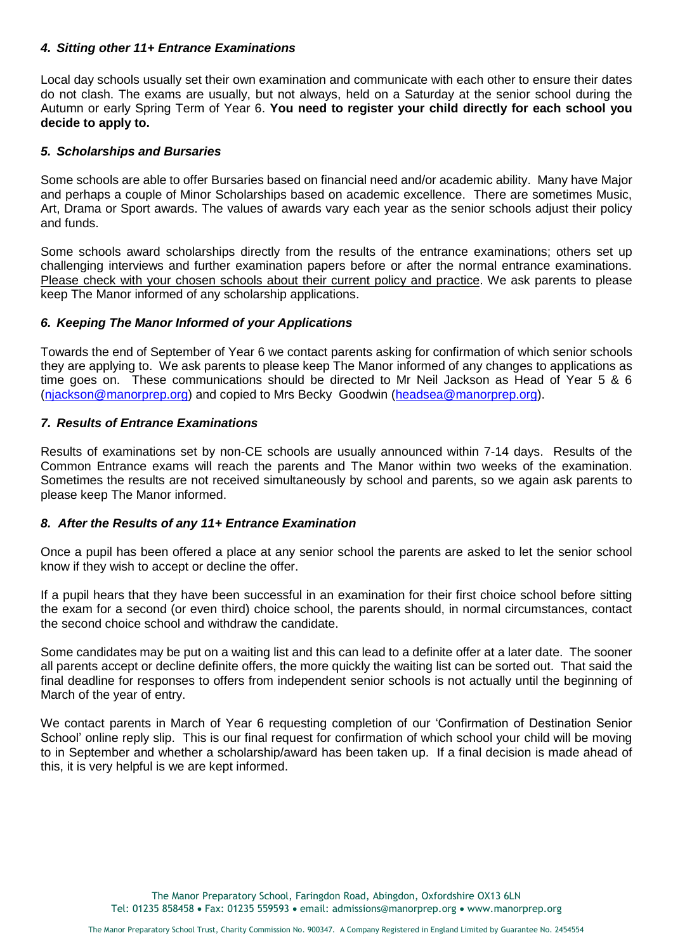#### *4. Sitting other 11+ Entrance Examinations*

Local day schools usually set their own examination and communicate with each other to ensure their dates do not clash. The exams are usually, but not always, held on a Saturday at the senior school during the Autumn or early Spring Term of Year 6. **You need to register your child directly for each school you decide to apply to.**

#### *5. Scholarships and Bursaries*

Some schools are able to offer Bursaries based on financial need and/or academic ability. Many have Major and perhaps a couple of Minor Scholarships based on academic excellence. There are sometimes Music, Art, Drama or Sport awards. The values of awards vary each year as the senior schools adjust their policy and funds.

Some schools award scholarships directly from the results of the entrance examinations; others set up challenging interviews and further examination papers before or after the normal entrance examinations. Please check with your chosen schools about their current policy and practice. We ask parents to please keep The Manor informed of any scholarship applications.

#### *6. Keeping The Manor Informed of your Applications*

Towards the end of September of Year 6 we contact parents asking for confirmation of which senior schools they are applying to. We ask parents to please keep The Manor informed of any changes to applications as time goes on. These communications should be directed to Mr Neil Jackson as Head of Year 5 & 6 [\(njackson@manorprep.org\)](mailto:njackson@manorprep.org) and copied to Mrs Becky Goodwin [\(headsea@manorprep.org\)](mailto:headsea@manorprep.org).

#### *7. Results of Entrance Examinations*

Results of examinations set by non-CE schools are usually announced within 7-14 days. Results of the Common Entrance exams will reach the parents and The Manor within two weeks of the examination. Sometimes the results are not received simultaneously by school and parents, so we again ask parents to please keep The Manor informed.

## *8. After the Results of any 11+ Entrance Examination*

Once a pupil has been offered a place at any senior school the parents are asked to let the senior school know if they wish to accept or decline the offer.

If a pupil hears that they have been successful in an examination for their first choice school before sitting the exam for a second (or even third) choice school, the parents should, in normal circumstances, contact the second choice school and withdraw the candidate.

Some candidates may be put on a waiting list and this can lead to a definite offer at a later date. The sooner all parents accept or decline definite offers, the more quickly the waiting list can be sorted out. That said the final deadline for responses to offers from independent senior schools is not actually until the beginning of March of the year of entry.

We contact parents in March of Year 6 requesting completion of our 'Confirmation of Destination Senior School' online reply slip. This is our final request for confirmation of which school your child will be moving to in September and whether a scholarship/award has been taken up. If a final decision is made ahead of this, it is very helpful is we are kept informed.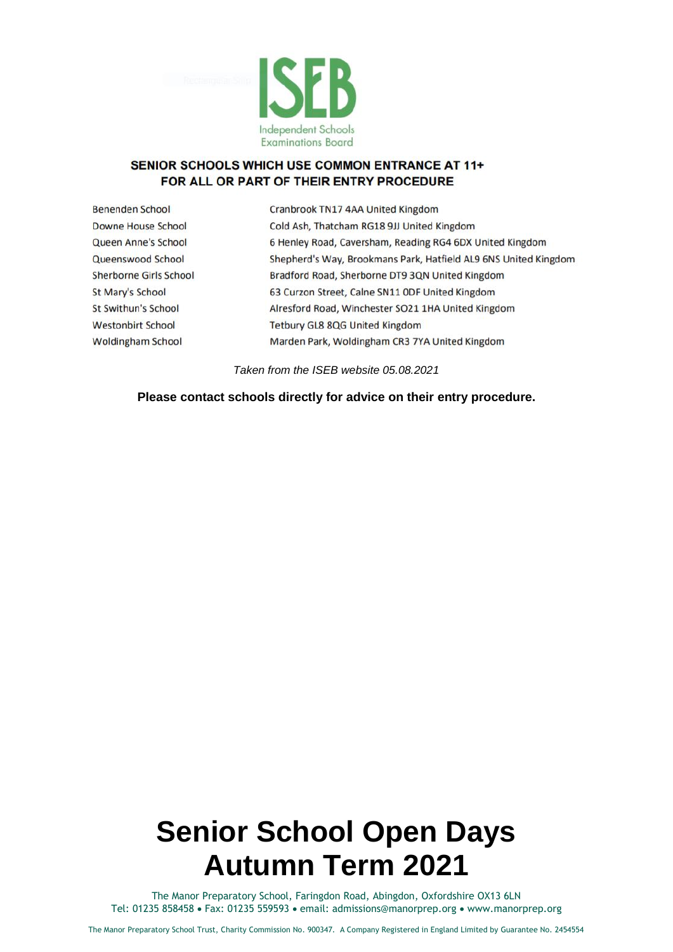

# SENIOR SCHOOLS WHICH USE COMMON ENTRANCE AT 11+ FOR ALL OR PART OF THEIR ENTRY PROCEDURE

**Benenden School Downe House School** Queen Anne's School Queenswood School Sherborne Girls School **St Mary's School St Swithun's School Westonbirt School Woldingham School** 

Cranbrook TN17 4AA United Kingdom Cold Ash, Thatcham RG18 9JJ United Kingdom 6 Henley Road, Caversham, Reading RG4 6DX United Kingdom Shepherd's Way, Brookmans Park, Hatfield AL9 6NS United Kingdom Bradford Road, Sherborne DT9 3QN United Kingdom 63 Curzon Street, Calne SN11 ODF United Kingdom Alresford Road, Winchester SO21 1HA United Kingdom Tetbury GL8 8QG United Kingdom Marden Park, Woldingham CR3 7YA United Kingdom

*Taken from the ISEB website 05.08.2021*

**Please contact schools directly for advice on their entry procedure.**

# **Senior School Open Days Autumn Term 2021**

The Manor Preparatory School, Faringdon Road, Abingdon, Oxfordshire OX13 6LN Tel: 01235 858458 Fax: 01235 559593 email: [admissions@manorprep.org](mailto:registrar@manorprep.org) [www.manorprep.org](http://www.manorprep.org/)

The Manor Preparatory School Trust, Charity Commission No. 900347. A Company Registered in England Limited by Guarantee No. 2454554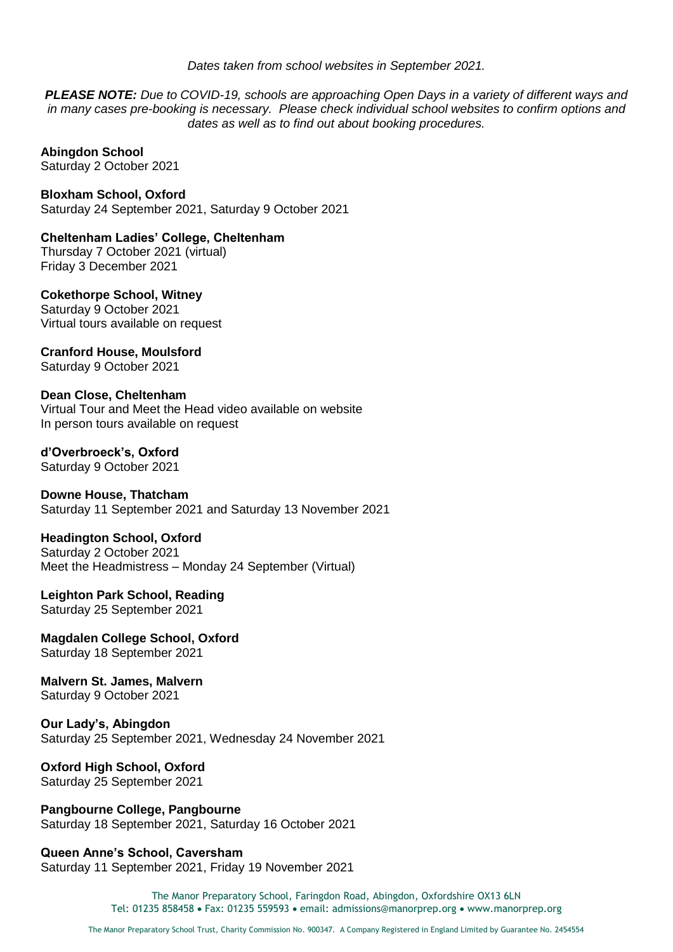*Dates taken from school websites in September 2021.* 

*PLEASE NOTE: Due to COVID-19, schools are approaching Open Days in a variety of different ways and in many cases pre-booking is necessary. Please check individual school websites to confirm options and dates as well as to find out about booking procedures.*

**Abingdon School** Saturday 2 October 2021

# **Bloxham School, Oxford**

Saturday 24 September 2021, Saturday 9 October 2021

**Cheltenham Ladies' College, Cheltenham** Thursday 7 October 2021 (virtual) Friday 3 December 2021

**Cokethorpe School, Witney** Saturday 9 October 2021 Virtual tours available on request

**Cranford House, Moulsford** Saturday 9 October 2021

#### **Dean Close, Cheltenham**

Virtual Tour and Meet the Head video available on website In person tours available on request

**d'Overbroeck's, Oxford**

Saturday 9 October 2021

## **Downe House, Thatcham**

Saturday 11 September 2021 and Saturday 13 November 2021

# **Headington School, Oxford**

Saturday 2 October 2021 Meet the Headmistress – Monday 24 September (Virtual)

**Leighton Park School, Reading** Saturday 25 September 2021

**Magdalen College School, Oxford** Saturday 18 September 2021

#### **Malvern St. James, Malvern** Saturday 9 October 2021

**Our Lady's, Abingdon** Saturday 25 September 2021, Wednesday 24 November 2021

#### **Oxford High School, Oxford** Saturday 25 September 2021

**Pangbourne College, Pangbourne** Saturday 18 September 2021, Saturday 16 October 2021

**Queen Anne's School, Caversham** Saturday 11 September 2021, Friday 19 November 2021

> The Manor Preparatory School, Faringdon Road, Abingdon, Oxfordshire OX13 6LN Tel: 01235 858458 Fax: 01235 559593 email: [admissions@manorprep.org](mailto:registrar@manorprep.org) [www.manorprep.org](http://www.manorprep.org/)